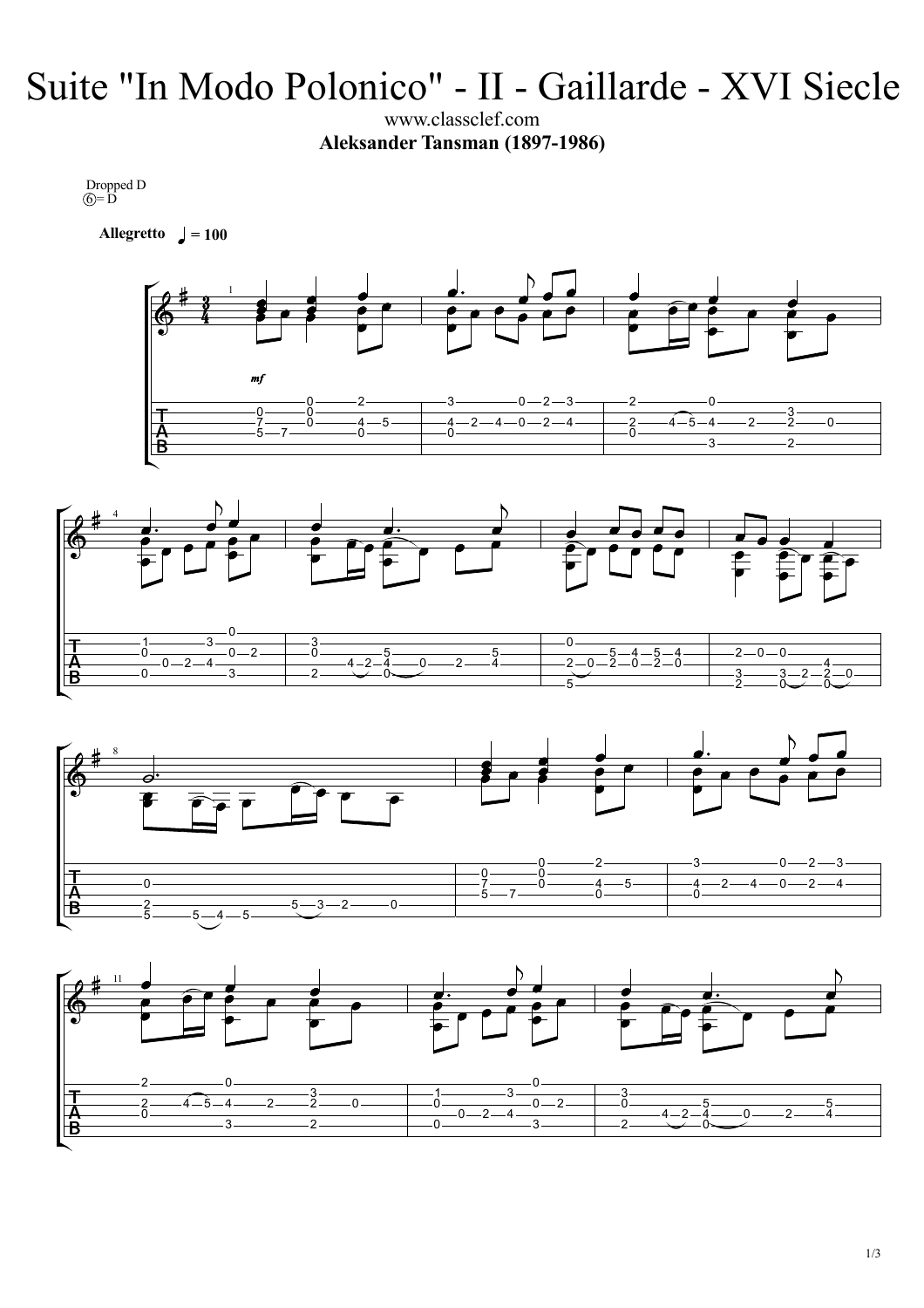## Suite "In Modo Polonico" - II - Gaillarde - XVI Siecle

www.classclef.com **Aleksander Tansman (1897-1986)**

Dropped D  $\widehat{O} = \overline{D}$ 

**Allegretto**  $\sqrt{ } = 100$ 







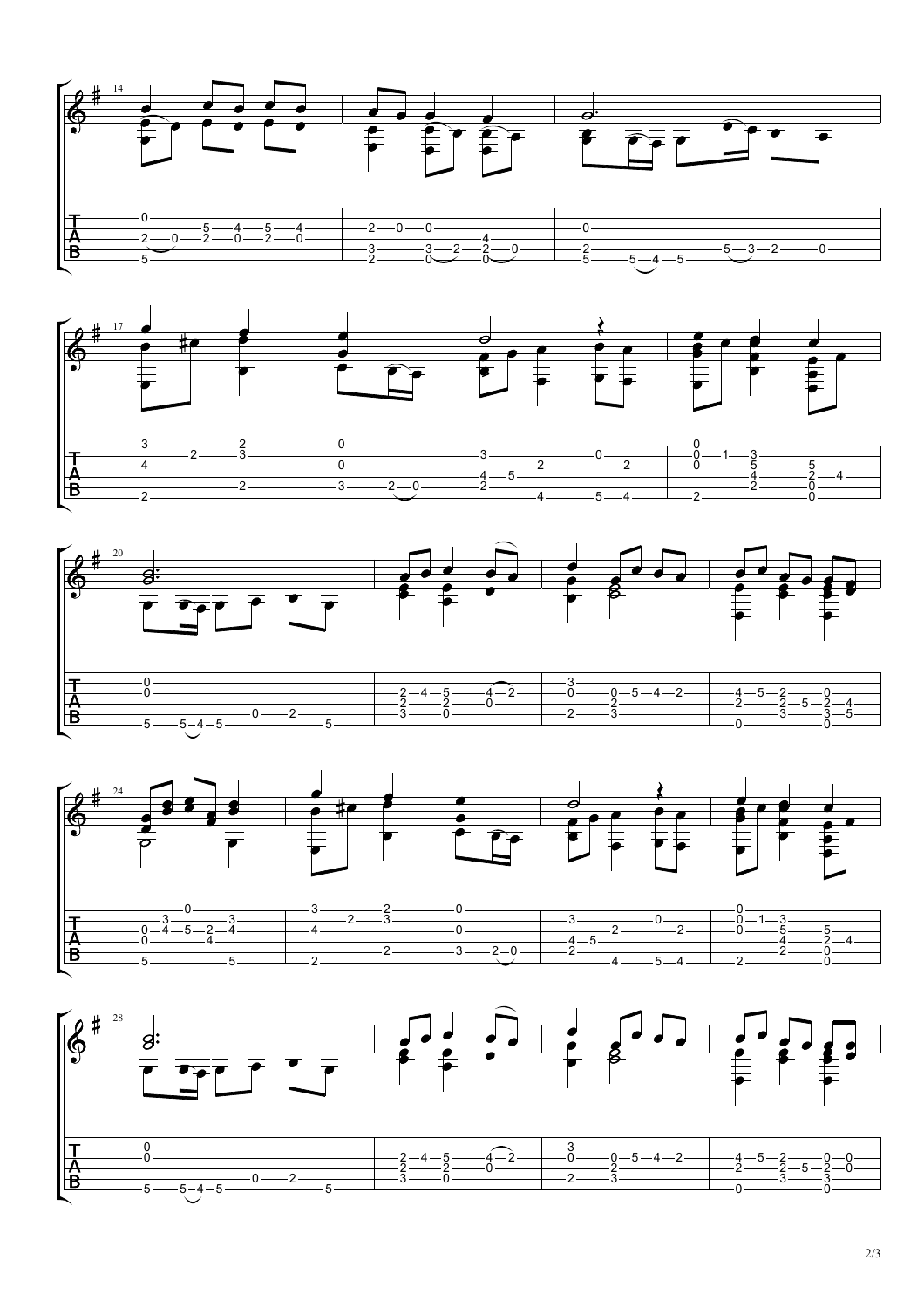